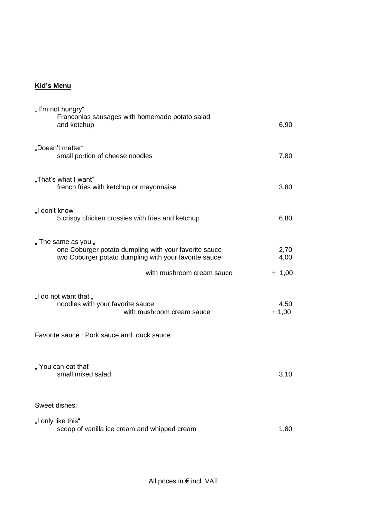## **Kid's Menu**

| "I'm not hungry"<br>Franconias sausages with homemade potato salad<br>and ketchup                                                     | 6,90            |
|---------------------------------------------------------------------------------------------------------------------------------------|-----------------|
| "Doesn't matter"<br>small portion of cheese noodles                                                                                   | 7,80            |
| "That's what I want"<br>french fries with ketchup or mayonnaise                                                                       | 3,80            |
| "I don't know"<br>5 crispy chicken crossies with fries and ketchup                                                                    | 6,80            |
| " The same as you "<br>one Coburger potato dumpling with your favorite sauce<br>two Coburger potato dumpling with your favorite sauce | 2,70<br>4,00    |
| with mushroom cream sauce                                                                                                             | $+ 1,00$        |
| "I do not want that "<br>noodles with your favorite sauce<br>with mushroom cream sauce                                                | 4,50<br>$+1,00$ |
| Favorite sauce: Pork sauce and duck sauce                                                                                             |                 |
| "You can eat that"<br>small mixed salad                                                                                               | 3,10            |
| Sweet dishes:                                                                                                                         |                 |
| "I only like this"<br>scoop of vanilla ice cream and whipped cream                                                                    | 1,80            |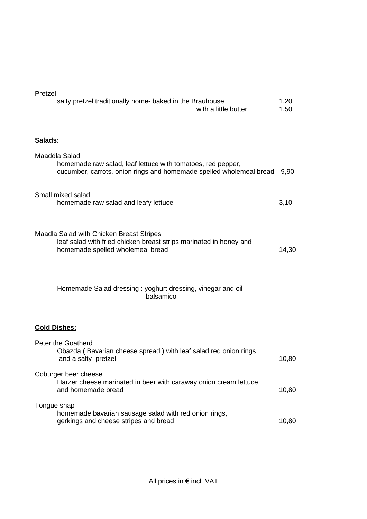| Pretzei<br>salty pretzel traditionally home- baked in the Brauhouse<br>with a little butter                                                         | 1,20<br>1,50 |
|-----------------------------------------------------------------------------------------------------------------------------------------------------|--------------|
| Salads:                                                                                                                                             |              |
| Maaddla Salad<br>homemade raw salad, leaf lettuce with tomatoes, red pepper,<br>cucumber, carrots, onion rings and homemade spelled wholemeal bread | 9,90         |
| Small mixed salad<br>homemade raw salad and leafy lettuce                                                                                           | 3,10         |
| Maadla Salad with Chicken Breast Stripes<br>leaf salad with fried chicken breast strips marinated in honey and<br>homemade spelled wholemeal bread  | 14,30        |
| Homemade Salad dressing: yoghurt dressing, vinegar and oil<br>balsamico                                                                             |              |
| <b>Cold Dishes:</b>                                                                                                                                 |              |
| Peter the Goatherd<br>Obazda (Bavarian cheese spread) with leaf salad red onion rings                                                               |              |

| Obazda (Bavarian cheese spread) with leaf salad red onion rings<br>and a salty pretzel                         | 10,80 |
|----------------------------------------------------------------------------------------------------------------|-------|
| Coburger beer cheese<br>Harzer cheese marinated in beer with caraway onion cream lettuce<br>and homemade bread | 10,80 |
| Tongue snap<br>homemade bavarian sausage salad with red onion rings,<br>gerkings and cheese stripes and bread  | 10,80 |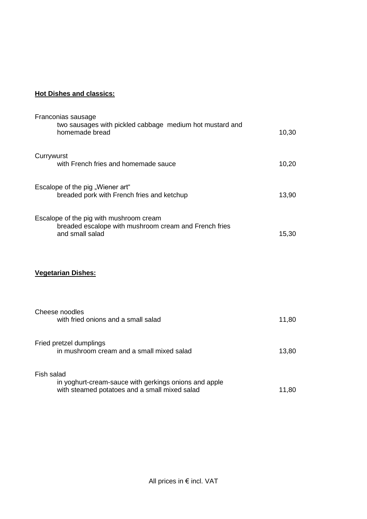## **Hot Dishes and classics:**

| Franconias sausage<br>two sausages with pickled cabbage medium hot mustard and<br>homemade bread                     | 10,30 |
|----------------------------------------------------------------------------------------------------------------------|-------|
| Currywurst<br>with French fries and homemade sauce                                                                   | 10,20 |
| Escalope of the pig "Wiener art"<br>breaded pork with French fries and ketchup                                       | 13,90 |
| Escalope of the pig with mushroom cream<br>breaded escalope with mushroom cream and French fries<br>and small salad  | 15,30 |
| <b>Vegetarian Dishes:</b>                                                                                            |       |
| Cheese noodles<br>with fried onions and a small salad                                                                | 11,80 |
| Fried pretzel dumplings<br>in mushroom cream and a small mixed salad                                                 | 13,80 |
| Fish salad<br>in yoghurt-cream-sauce with gerkings onions and apple<br>with steamed potatoes and a small mixed salad | 11,80 |